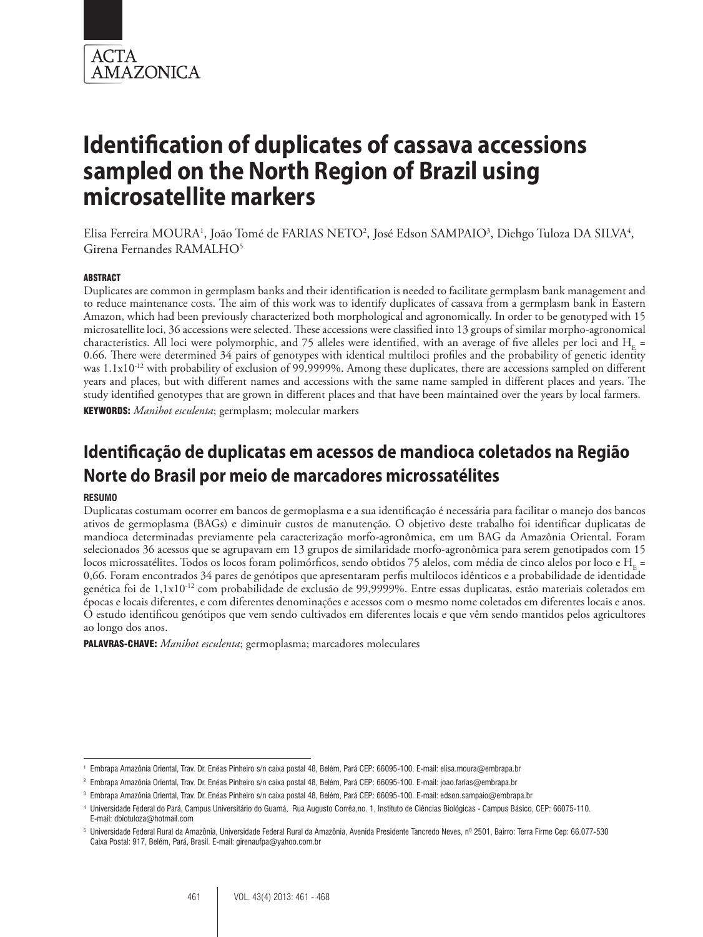

Elisa Ferreira MOURA<sup>1</sup>, João Tomé de FARIAS NETO<sup>2</sup>, José Edson SAMPAIO<sup>3</sup>, Diehgo Tuloza DA SILVA<sup>4</sup>, Girena Fernandes RAMALHO5

#### ABSTRACT

Duplicates are common in germplasm banks and their identification is needed to facilitate germplasm bank management and to reduce maintenance costs. The aim of this work was to identify duplicates of cassava from a germplasm bank in Eastern Amazon, which had been previously characterized both morphological and agronomically. In order to be genotyped with 15 microsatellite loci, 36 accessions were selected. These accessions were classified into 13 groups of similar morpho-agronomical characteristics. All loci were polymorphic, and 75 alleles were identified, with an average of five alleles per loci and  $H<sub>r</sub>$  = 0.66. There were determined 34 pairs of genotypes with identical multiloci profiles and the probability of genetic identity was  $1.1x10^{-12}$  with probability of exclusion of 99.9999%. Among these duplicates, there are accessions sampled on different years and places, but with different names and accessions with the same name sampled in different places and years. The study identified genotypes that are grown in different places and that have been maintained over the years by local farmers. KEYWORDS: *Manihot esculenta*; germplasm; molecular markers

# **Identificação de duplicatas em acessos de mandioca coletados na Região Norte do Brasil por meio de marcadores microssatélites**

#### **RESUMO**

Duplicatas costumam ocorrer em bancos de germoplasma e a sua identificação é necessária para facilitar o manejo dos bancos ativos de germoplasma (BAGs) e diminuir custos de manutenção. O objetivo deste trabalho foi identificar duplicatas de mandioca determinadas previamente pela caracterização morfo-agronômica, em um BAG da Amazônia Oriental. Foram selecionados 36 acessos que se agrupavam em 13 grupos de similaridade morfo-agronômica para serem genotipados com 15 locos microssatélites. Todos os locos foram polimórficos, sendo obtidos 75 alelos, com média de cinco alelos por loco e H<sub>E</sub> = 0,66. Foram encontrados 34 pares de genótipos que apresentaram perfis multilocos idênticos e a probabilidade de identidade genética foi de 1,1x10-12 com probabilidade de exclusão de 99,9999%. Entre essas duplicatas, estão materiais coletados em épocas e locais diferentes, e com diferentes denominações e acessos com o mesmo nome coletados em diferentes locais e anos. O estudo identificou genótipos que vem sendo cultivados em diferentes locais e que vêm sendo mantidos pelos agricultores ao longo dos anos.

PALAVRAS-CHAVE: *Manihot esculenta*; germoplasma; marcadores moleculares

<sup>1</sup> Embrapa Amazônia Oriental, Trav. Dr. Enéas Pinheiro s/n caixa postal 48, Belém, Pará CEP: 66095-100. E-mail: elisa.moura@embrapa.br

<sup>2</sup> Embrapa Amazônia Oriental, Trav. Dr. Enéas Pinheiro s/n caixa postal 48, Belém, Pará CEP: 66095-100. E-mail: joao.farias@embrapa.br

<sup>3</sup> Embrapa Amazônia Oriental, Trav. Dr. Enéas Pinheiro s/n caixa postal 48, Belém, Pará CEP: 66095-100. E-mail: edson.sampaio@embrapa.br

<sup>4</sup> Universidade Federal do Pará, Campus Universitário do Guamá, Rua Augusto Corrêa,no. 1, Instituto de Ciências Biológicas - Campus Básico, CEP: 66075-110. E-mail: dbiotuloza@hotmail.com

<sup>5</sup> Universidade Federal Rural da Amazônia, Universidade Federal Rural da Amazônia, Avenida Presidente Tancredo Neves, nº 2501, Bairro: Terra Firme Cep: 66.077-530 Caixa Postal: 917, Belém, Pará, Brasil. E-mail: girenaufpa@yahoo.com.br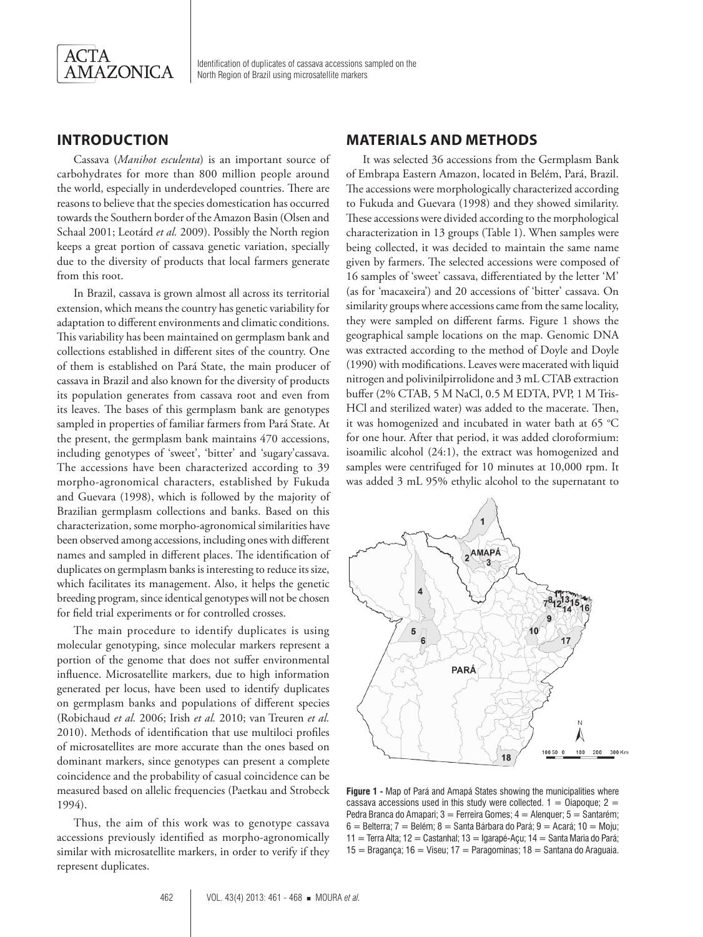

#### **INTRODUCTION**

Cassava (*Manihot esculenta*) is an important source of carbohydrates for more than 800 million people around the world, especially in underdeveloped countries. There are reasons to believe that the species domestication has occurred towards the Southern border of the Amazon Basin (Olsen and Schaal 2001; Leotárd *et al.* 2009). Possibly the North region keeps a great portion of cassava genetic variation, specially due to the diversity of products that local farmers generate from this root.

In Brazil, cassava is grown almost all across its territorial extension, which means the country has genetic variability for adaptation to different environments and climatic conditions. This variability has been maintained on germplasm bank and collections established in different sites of the country. One of them is established on Pará State, the main producer of cassava in Brazil and also known for the diversity of products its population generates from cassava root and even from its leaves. The bases of this germplasm bank are genotypes sampled in properties of familiar farmers from Pará State. At the present, the germplasm bank maintains 470 accessions, including genotypes of 'sweet', 'bitter' and 'sugary'cassava. The accessions have been characterized according to 39 morpho-agronomical characters, established by Fukuda and Guevara (1998), which is followed by the majority of Brazilian germplasm collections and banks. Based on this characterization, some morpho-agronomical similarities have been observed among accessions, including ones with different names and sampled in different places. The identification of duplicates on germplasm banks is interesting to reduce its size, which facilitates its management. Also, it helps the genetic breeding program, since identical genotypes will not be chosen for field trial experiments or for controlled crosses.

The main procedure to identify duplicates is using molecular genotyping, since molecular markers represent a portion of the genome that does not suffer environmental influence. Microsatellite markers, due to high information generated per locus, have been used to identify duplicates on germplasm banks and populations of different species (Robichaud *et al.* 2006; Irish *et al.* 2010; van Treuren *et al.* 2010). Methods of identification that use multiloci profiles of microsatellites are more accurate than the ones based on dominant markers, since genotypes can present a complete coincidence and the probability of casual coincidence can be measured based on allelic frequencies (Paetkau and Strobeck 1994).

Thus, the aim of this work was to genotype cassava accessions previously identified as morpho-agronomically similar with microsatellite markers, in order to verify if they represent duplicates.

## **MATERIALS AND METHODS**

It was selected 36 accessions from the Germplasm Bank of Embrapa Eastern Amazon, located in Belém, Pará, Brazil. The accessions were morphologically characterized according to Fukuda and Guevara (1998) and they showed similarity. These accessions were divided according to the morphological characterization in 13 groups (Table 1). When samples were being collected, it was decided to maintain the same name given by farmers. The selected accessions were composed of 16 samples of 'sweet' cassava, differentiated by the letter 'M' (as for 'macaxeira') and 20 accessions of 'bitter' cassava. On similarity groups where accessions came from the same locality, they were sampled on different farms. Figure 1 shows the geographical sample locations on the map. Genomic DNA was extracted according to the method of Doyle and Doyle (1990) with modifications. Leaves were macerated with liquid nitrogen and polivinilpirrolidone and 3 mL CTAB extraction buffer (2% CTAB, 5 M NaCl, 0.5 M EDTA, PVP, 1 M Tris-HCl and sterilized water) was added to the macerate. Then, it was homogenized and incubated in water bath at 65  $\mathrm{^{\circ}C}$ for one hour. After that period, it was added cloroformium: isoamilic alcohol (24:1), the extract was homogenized and samples were centrifuged for 10 minutes at 10,000 rpm. It was added 3 mL 95% ethylic alcohol to the supernatant to



**Figure 1 -** Map of Pará and Amapá States showing the municipalities where cassava accessions used in this study were collected.  $1 = 0$ iapoque;  $2 = 1$ Pedra Branca do Amapari;  $3 =$  Ferreira Gomes;  $4 =$  Alenguer;  $5 =$  Santarém;  $6 =$  Belterra;  $7 =$  Belém;  $8 =$  Santa Bárbara do Pará;  $9 =$  Acará;  $10 =$  Moju; 11 = Terra Alta; 12 = Castanhal; 13 = Igarapé-Açu; 14 = Santa Maria do Pará;  $15 =$  Bragança; 16 = Viseu; 17 = Paragominas; 18 = Santana do Araguaia.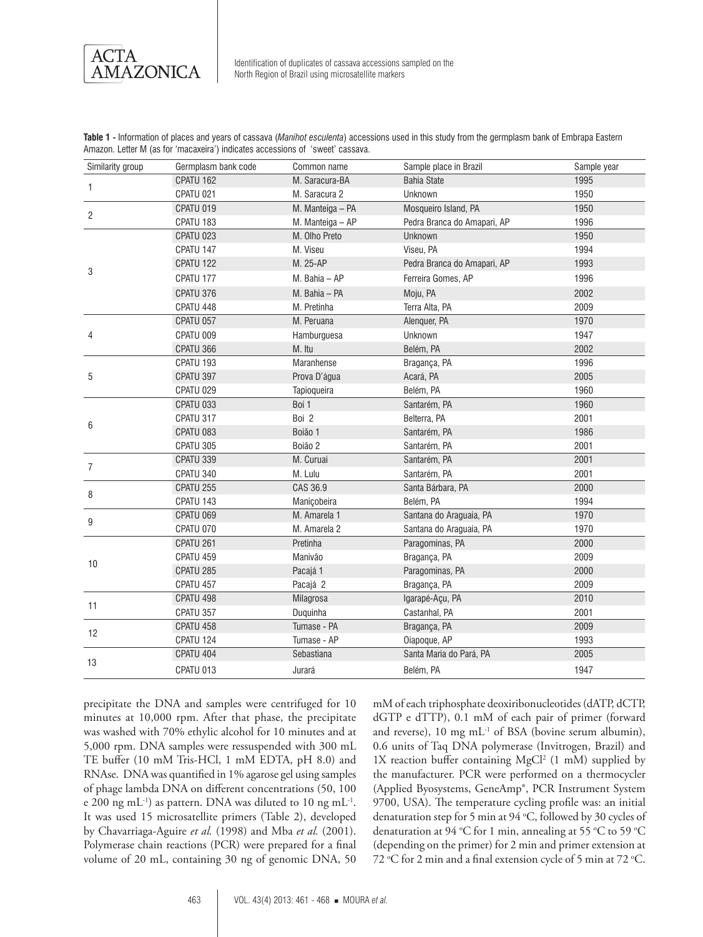ACTA AMAZONICA

| Similarity group | Germplasm bank code | Common name      | Sample place in Brazil      | Sample year |
|------------------|---------------------|------------------|-----------------------------|-------------|
| 1                | CPATU 162           | M. Saracura-BA   | <b>Bahia State</b>          | 1995        |
|                  | CPATU 021           | M. Saracura 2    | Unknown                     | 1950        |
| $\overline{2}$   | CPATU 019           | M. Manteiga - PA | Mosqueiro Island, PA        | 1950        |
|                  | CPATU 183           | M. Manteiga - AP | Pedra Branca do Amapari, AP | 1996        |
|                  | CPATU 023           | M. Olho Preto    | Unknown                     | 1950        |
|                  | CPATU 147           | M. Viseu         | Viseu, PA                   | 1994        |
|                  | CPATU 122           | M. 25-AP         | Pedra Branca do Amapari, AP | 1993        |
| 3                | CPATU 177           | M. Bahia - AP    | Ferreira Gomes, AP          | 1996        |
|                  | CPATU 376           | M. Bahia - PA    | Moju, PA                    | 2002        |
|                  | CPATU 448           | M. Pretinha      | Terra Alta, PA              | 2009        |
|                  | CPATU 057           | M. Peruana       | Alenquer, PA                | 1970        |
| 4                | CPATU 009           | Hamburguesa      | Unknown                     | 1947        |
|                  | CPATU 366           | M. Itu           | Belém, PA                   | 2002        |
|                  | CPATU 193           | Maranhense       | Bragança, PA                | 1996        |
| 5                | CPATU 397           | Prova D'áqua     | Acará, PA                   | 2005        |
|                  | CPATU 029           | Tapioqueira      | Belém, PA                   | 1960        |
| 6                | CPATU 033           | Boi 1            | Santarém, PA                | 1960        |
|                  | CPATU 317           | Boi 2            | Belterra, PA                | 2001        |
|                  | CPATU 083           | Boião 1          | Santarém, PA                | 1986        |
|                  | CPATU 305           | Boião 2          | Santarém, PA                | 2001        |
|                  | CPATU 339           | M. Curuai        | Santarém, PA                | 2001        |
| $\overline{7}$   | CPATU 340           | M. Lulu          | Santarém, PA                | 2001        |
| 8                | CPATU 255           | CAS 36.9         | Santa Bárbara, PA           | 2000        |
|                  | CPATU 143           | Maniçobeira      | Belém, PA                   | 1994        |
|                  | CPATU 069           | M. Amarela 1     | Santana do Araguaia, PA     | 1970        |
| 9                | CPATU 070           | M. Amarela 2     | Santana do Araguaia, PA     | 1970        |
|                  | CPATU 261           | Pretinha         | Paragominas, PA             | 2000        |
|                  | CPATU 459           | Manivão          | Bragança, PA                | 2009        |
| 10               | CPATU 285           | Pacajá 1         | Paragominas, PA             | 2000        |
|                  | CPATU 457           | Pacajá 2         | Bragança, PA                | 2009        |
|                  | CPATU 498           | Milagrosa        | Igarapé-Açu, PA             | 2010        |
| 11               | CPATU 357           | Duguinha         | Castanhal, PA               | 2001        |
|                  | CPATU 458           | Tumase - PA      | Bragança, PA                | 2009        |
| 12               | CPATU 124           | Tumase - AP      | Oiapoque, AP                | 1993        |
|                  | CPATU 404           | Sebastiana       | Santa Maria do Pará, PA     | 2005        |
| 13               | CPATU 013           | Jurará           | Belém, PA                   | 1947        |

**Table 1 -** Information of places and years of cassava (*Manihot esculenta*) accessions used in this study from the germplasm bank of Embrapa Eastern Amazon. Letter M (as for 'macaxeira') indicates accessions of 'sweet' cassava.

precipitate the DNA and samples were centrifuged for 10 minutes at 10,000 rpm. After that phase, the precipitate was washed with 70% ethylic alcohol for 10 minutes and at 5,000 rpm. DNA samples were ressuspended with 300 mL TE buffer (10 mM Tris-HCl, 1 mM EDTA, pH 8.0) and RNAse. DNA was quantified in 1% agarose gel using samples of phage lambda DNA on different concentrations (50, 100 e 200 ng mL<sup>-1</sup>) as pattern. DNA was diluted to 10 ng mL<sup>-1</sup>. It was used 15 microsatellite primers (Table 2), developed by Chavarriaga-Aguire *et al.* (1998) and Mba *et al.* (2001). Polymerase chain reactions (PCR) were prepared for a final volume of 20 mL, containing 30 ng of genomic DNA, 50

mM of each triphosphate deoxiribonucleotides (dATP, dCTP, dGTP e dTTP), 0.1 mM of each pair of primer (forward and reverse),  $10 \text{ mg } \text{mL}^{-1}$  of BSA (bovine serum albumin), 0.6 units of Taq DNA polymerase (Invitrogen, Brazil) and 1X reaction buffer containing MgCl<sup>2</sup> (1 mM) supplied by the manufacturer. PCR were performed on a thermocycler (Applied Byosystems, GeneAmp®, PCR Instrument System 9700, USA). The temperature cycling profile was: an initial denaturation step for 5 min at 94 °C, followed by 30 cycles of denaturation at 94 °C for 1 min, annealing at 55 °C to 59 °C (depending on the primer) for 2 min and primer extension at 72 °C for 2 min and a final extension cycle of 5 min at 72 °C.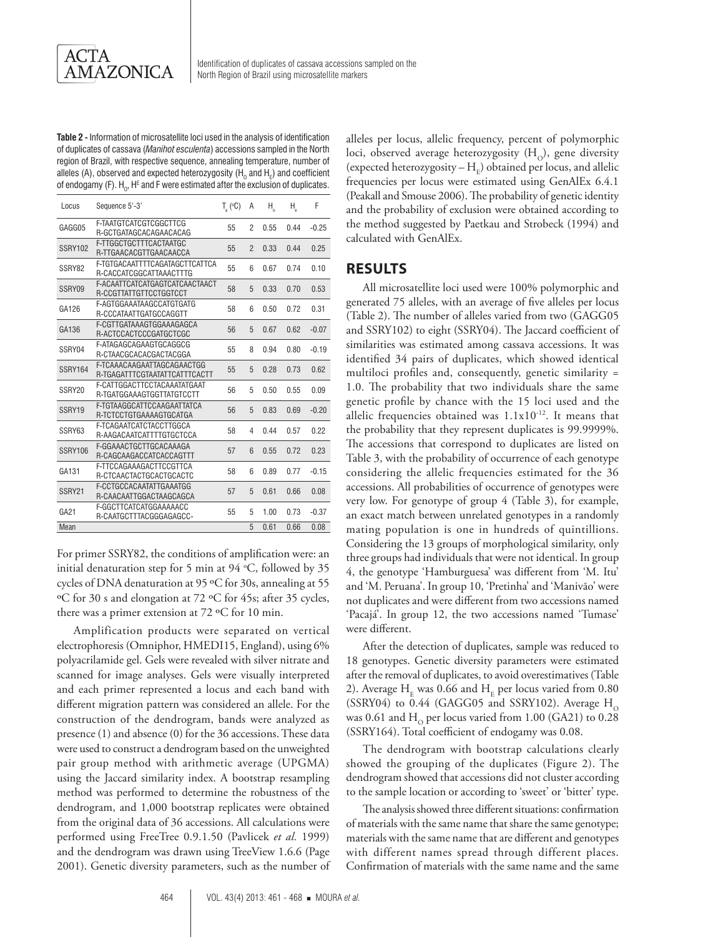**Table 2 -** Information of microsatellite loci used in the analysis of identification of duplicates of cassava (*Manihot esculenta*) accessions sampled in the North region of Brazil, with respective sequence, annealing temperature, number of alleles (A), observed and expected heterozygosity (H<sub>0</sub> and H<sub>E</sub>) and coefficient of endogamy (F).  ${\sf H}_0$ , H $^{\scriptscriptstyle\rm E}$  and F were estimated after the exclusion of duplicates.

| Locus   | Sequence 5'-3'                                              | $T_a$ (°C) | Α              | Η.   | Η,   | F       |
|---------|-------------------------------------------------------------|------------|----------------|------|------|---------|
| GAGG05  | F-TAATGTCATCGTCGGCTTCG<br>R-GCTGATAGCACAGAACACAG            | 55         | $\overline{2}$ | 0.55 | 0.44 | $-0.25$ |
| SSRY102 | F-TTGGCTGCTTTCACTAATGC<br>R-TTGAACACGTTGAACAACCA            | 55         | $\overline{2}$ | 0.33 | 0.44 | 0.25    |
| SSRY82  | F-TGTGACAATTTTCAGATAGCTTCATTCA<br>R-CACCATCGGCATTAAACTTTG   | 55         | 6              | 0.67 | 0.74 | 0.10    |
| SSRY09  | F-ACAATTCATCATGAGTCATCAACTAACT<br>R-CCGTTATTGTTCCTGGTCCT    | 58         | 5              | 0.33 | 0.70 | 0.53    |
| GA126   | F-AGTGGAAATAAGCCATGTGATG<br>R-CCCATAATTGATGCCAGGTT          | 58         | 6              | 0.50 | 0.72 | 0.31    |
| GA136   | F-CGTTGATAAAGTGGAAAGAGCA<br>R-ACTCCACTCCCGATGCTCGC          | 56         | 5              | 0.67 | 0.62 | $-0.07$ |
| SSRY04  | F-ATAGAGCAGAAGTGCAGGCG<br>R-CTAACGCACACGACTACGGA            | 55         | 8              | 0.94 | 0.80 | $-0.19$ |
| SSRY164 | F-TCAAACAAGAATTAGCAGAACTGG<br>R-TGAGATTTCGTAATATTCATTTCACTT | 55         | 5              | 0.28 | 0.73 | 0.62    |
| SSRY20  | F-CATTGGACTTCCTACAAATATGAAT<br>R-TGATGGAAAGTGGTTATGTCCTT    | 56         | 5              | 0.50 | 0.55 | 0.09    |
| SSRY19  | F-TGTAAGGCATTCCAAGAATTATCA<br>R-TCTCCTGTGAAAAGTGCATGA       | 56         | 5              | 0.83 | 0.69 | $-0.20$ |
| SSRY63  | F-TCAGAATCATCTACCTTGGCA<br>R-AAGACAATCATTTTGTGCTCCA         | 58         | 4              | 0.44 | 0.57 | 0.22    |
| SSRY106 | F-GGAAACTGCTTGCACAAAGA<br>R-CAGCAAGACCATCACCAGTTT           | 57         | 6              | 0.55 | 0.72 | 0.23    |
| GA131   | F-TTCCAGAAAGACTTCCGTTCA<br>R-CTCAACTACTGCACTGCACTC          | 58         | 6              | 0.89 | 0.77 | $-0.15$ |
| SSRY21  | F-CCTGCCACAATATTGAAATGG<br>R-CAACAATTGGACTAAGCAGCA          | 57         | 5              | 0.61 | 0.66 | 0.08    |
| GA21    | F-GGCTTCATCATGGAAAAACC<br>R-CAATGCTTTACGGGAGAGCC-           | 55         | 5              | 1.00 | 0.73 | $-0.37$ |
| Mean    |                                                             |            | 5              | 0.61 | 0.66 | 0.08    |

For primer SSRY82, the conditions of amplification were: an initial denaturation step for 5 min at 94 °C, followed by 35 cycles of DNA denaturation at 95 ºC for 30s, annealing at 55 ºC for 30 s and elongation at 72 ºC for 45s; after 35 cycles, there was a primer extension at 72 ºC for 10 min.

Amplification products were separated on vertical electrophoresis (Omniphor, HMEDI15, England), using 6% polyacrilamide gel. Gels were revealed with silver nitrate and scanned for image analyses. Gels were visually interpreted and each primer represented a locus and each band with different migration pattern was considered an allele. For the construction of the dendrogram, bands were analyzed as presence (1) and absence (0) for the 36 accessions. These data were used to construct a dendrogram based on the unweighted pair group method with arithmetic average (UPGMA) using the Jaccard similarity index. A bootstrap resampling method was performed to determine the robustness of the dendrogram, and 1,000 bootstrap replicates were obtained from the original data of 36 accessions. All calculations were performed using FreeTree 0.9.1.50 (Pavlicek *et al.* 1999) and the dendrogram was drawn using TreeView 1.6.6 (Page 2001). Genetic diversity parameters, such as the number of alleles per locus, allelic frequency, percent of polymorphic loci, observed average heterozygosity  $(H_0)$ , gene diversity (expected heterozygosity  $- H<sub>r</sub>$ ) obtained per locus, and allelic frequencies per locus were estimated using GenAlEx 6.4.1 (Peakall and Smouse 2006). The probability of genetic identity and the probability of exclusion were obtained according to the method suggested by Paetkau and Strobeck (1994) and calculated with GenAlEx.

#### **RESULTS**

All microsatellite loci used were 100% polymorphic and generated 75 alleles, with an average of five alleles per locus (Table 2). The number of alleles varied from two (GAGG05 and SSRY102) to eight (SSRY04). The Jaccard coefficient of similarities was estimated among cassava accessions. It was identified 34 pairs of duplicates, which showed identical multiloci profiles and, consequently, genetic similarity = 1.0. The probability that two individuals share the same genetic profile by chance with the 15 loci used and the allelic frequencies obtained was  $1.1x10^{-12}$ . It means that the probability that they represent duplicates is 99.9999%. The accessions that correspond to duplicates are listed on Table 3, with the probability of occurrence of each genotype considering the allelic frequencies estimated for the 36 accessions. All probabilities of occurrence of genotypes were very low. For genotype of group 4 (Table 3), for example, an exact match between unrelated genotypes in a randomly mating population is one in hundreds of quintillions. Considering the 13 groups of morphological similarity, only three groups had individuals that were not identical. In group 4, the genotype 'Hamburguesa' was different from 'M. Itu' and 'M. Peruana'. In group 10, 'Pretinha' and 'Manivão' were not duplicates and were different from two accessions named 'Pacajá'. In group 12, the two accessions named 'Tumase' were different

After the detection of duplicates, sample was reduced to 18 genotypes. Genetic diversity parameters were estimated after the removal of duplicates, to avoid overestimatives (Table 2). Average  $H_E$  was 0.66 and  $H_E$  per locus varied from 0.80 (SSRY04) to 0.44 (GAGG05 and SSRY102). Average  $H_0$ was 0.61 and  $H_0$  per locus varied from 1.00 (GA21) to 0.28 (SSRY164). Total coefficient of endogamy was 0.08.

The dendrogram with bootstrap calculations clearly showed the grouping of the duplicates (Figure 2). The dendrogram showed that accessions did not cluster according to the sample location or according to 'sweet' or 'bitter' type.

The analysis showed three different situations: confirmation of materials with the same name that share the same genotype; materials with the same name that are different and genotypes with different names spread through different places. Confirmation of materials with the same name and the same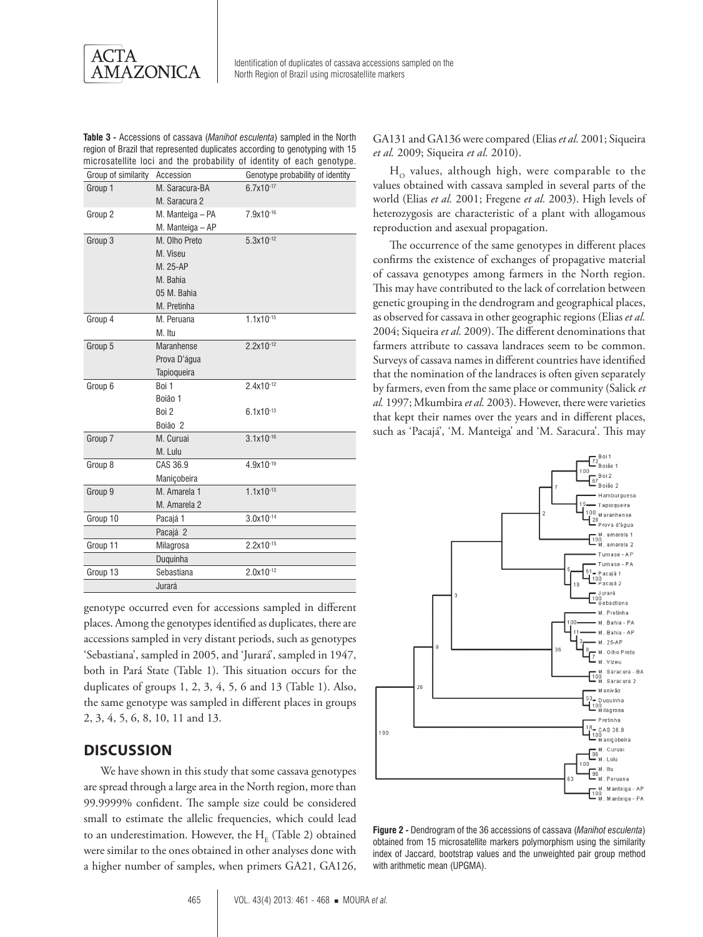ACTA **AMAZONICA** 

**Table 3 -** Accessions of cassava (*Manihot esculenta*) sampled in the North region of Brazil that represented duplicates according to genotyping with 15 microsatellite loci and the probability of identity of each genotype.

| Group of similarity | Accession         | Genotype probability of identity |
|---------------------|-------------------|----------------------------------|
| Group 1             | M. Saracura-BA    | $6.7x10^{-17}$                   |
|                     | M. Saracura 2     |                                  |
| Group 2             | M. Manteiga - PA  | 7.9x10-16                        |
|                     | M. Manteiga - AP  |                                  |
| Group 3             | M. Olho Preto     | $5.3x10^{-12}$                   |
|                     | M. Viseu          |                                  |
|                     | M. 25-AP          |                                  |
|                     | M. Bahia          |                                  |
|                     | 05 M. Bahia       |                                  |
|                     | M. Pretinha       |                                  |
| Group 4             | M. Peruana        | $1.1x10^{-15}$                   |
|                     | M. Itu            |                                  |
| Group 5             | <b>Maranhense</b> | $2.2x10^{-12}$                   |
|                     | Prova D'água      |                                  |
|                     | Tapioqueira       |                                  |
| Group 6             | Boi 1             | $2.4x10^{-12}$                   |
|                     | Boião 1           |                                  |
|                     | Boi 2             | $6.1x10^{-13}$                   |
|                     | Boião 2           |                                  |
| Group 7             | M. Curuai         | $3.1x10^{-16}$                   |
|                     | M. Lulu           |                                  |
| Group 8             | CAS 36.9          | 4.9x10-19                        |
|                     | Maniçobeira       |                                  |
| Group 9             | M. Amarela 1      | $1.1x10^{-13}$                   |
|                     | M. Amarela 2      |                                  |
| Group 10            | Pacajá 1          | $3.0x10^{-14}$                   |
|                     | Pacajá 2          |                                  |
| Group 11            | Milagrosa         | $2.2x10^{-15}$                   |
|                     | Duguinha          |                                  |
| Group 13            | Sebastiana        | $2.0x10^{-12}$                   |
|                     | Jurará            |                                  |
|                     |                   |                                  |

genotype occurred even for accessions sampled in different places. Among the genotypes identified as duplicates, there are accessions sampled in very distant periods, such as genotypes 'Sebastiana', sampled in 2005, and 'Jurará', sampled in 1947, both in Pará State (Table 1). This situation occurs for the duplicates of groups 1, 2, 3, 4, 5, 6 and 13 (Table 1). Also, the same genotype was sampled in different places in groups 2, 3, 4, 5, 6, 8, 10, 11 and 13.

#### **DISCUSSION**

We have shown in this study that some cassava genotypes are spread through a large area in the North region, more than 99.9999% confident. The sample size could be considered small to estimate the allelic frequencies, which could lead to an underestimation. However, the  $H_F$  (Table 2) obtained were similar to the ones obtained in other analyses done with a higher number of samples, when primers GA21, GA126,

GA131 and GA136 were compared (Elias *et al.* 2001; Siqueira *et al.* 2009; Siqueira *et al.* 2010).

 $H<sub>o</sub>$  values, although high, were comparable to the values obtained with cassava sampled in several parts of the world (Elias *et al.* 2001; Fregene *et al.* 2003). High levels of heterozygosis are characteristic of a plant with allogamous reproduction and asexual propagation.

The occurrence of the same genotypes in different places confirms the existence of exchanges of propagative material of cassava genotypes among farmers in the North region. This may have contributed to the lack of correlation between genetic grouping in the dendrogram and geographical places, as observed for cassava in other geographic regions (Elias *et al.* 2004; Siqueira *et al.* 2009). The different denominations that farmers attribute to cassava landraces seem to be common. Surveys of cassava names in different countries have identified that the nomination of the landraces is often given separately by farmers, even from the same place or community (Salick *et al.* 1997; Mkumbira *et al.* 2003). However, there were varieties that kept their names over the years and in different places, such as 'Pacajá', 'M. Manteiga' and 'M. Saracura'. This may



**Figure 2 -** Dendrogram of the 36 accessions of cassava (*Manihot esculenta*) obtained from 15 microsatellite markers polymorphism using the similarity index of Jaccard, bootstrap values and the unweighted pair group method with arithmetic mean (UPGMA).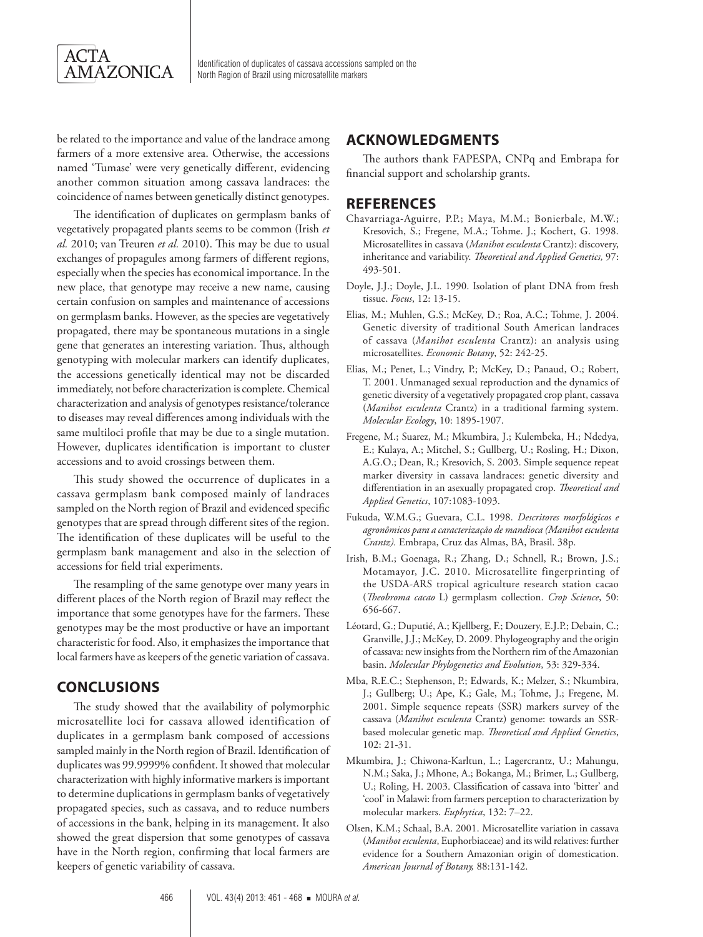

be related to the importance and value of the landrace among farmers of a more extensive area. Otherwise, the accessions named 'Tumase' were very genetically different, evidencing another common situation among cassava landraces: the coincidence of names between genetically distinct genotypes.

The identification of duplicates on germplasm banks of vegetatively propagated plants seems to be common (Irish *et al.* 2010; van Treuren *et al.* 2010). This may be due to usual exchanges of propagules among farmers of different regions, especially when the species has economical importance. In the new place, that genotype may receive a new name, causing certain confusion on samples and maintenance of accessions on germplasm banks. However, as the species are vegetatively propagated, there may be spontaneous mutations in a single gene that generates an interesting variation. Thus, although genotyping with molecular markers can identify duplicates, the accessions genetically identical may not be discarded immediately, not before characterization is complete. Chemical characterization and analysis of genotypes resistance/tolerance to diseases may reveal differences among individuals with the same multiloci profile that may be due to a single mutation. However, duplicates identification is important to cluster accessions and to avoid crossings between them.

This study showed the occurrence of duplicates in a cassava germplasm bank composed mainly of landraces sampled on the North region of Brazil and evidenced specific genotypes that are spread through different sites of the region. The identification of these duplicates will be useful to the germplasm bank management and also in the selection of accessions for field trial experiments.

The resampling of the same genotype over many years in different places of the North region of Brazil may reflect the importance that some genotypes have for the farmers. These genotypes may be the most productive or have an important characteristic for food. Also, it emphasizes the importance that local farmers have as keepers of the genetic variation of cassava.

## **CONCLUSIONS**

The study showed that the availability of polymorphic microsatellite loci for cassava allowed identification of duplicates in a germplasm bank composed of accessions sampled mainly in the North region of Brazil. Identification of duplicates was 99.9999% confident. It showed that molecular characterization with highly informative markers is important to determine duplications in germplasm banks of vegetatively propagated species, such as cassava, and to reduce numbers of accessions in the bank, helping in its management. It also showed the great dispersion that some genotypes of cassava have in the North region, confirming that local farmers are keepers of genetic variability of cassava.

#### **ACKNOWLEDGMENTS**

The authors thank FAPESPA, CNPq and Embrapa for financial support and scholarship grants.

#### **REFERENCES**

- Chavarriaga-Aguirre, P.P.; Maya, M.M.; Bonierbale, M.W.; Kresovich, S.; Fregene, M.A.; Tohme. J.; Kochert, G. 1998. Microsatellites in cassava (*Manihot esculenta* Crantz): discovery, inheritance and variability. *Theoretical and Applied Genetics,* 97: 493-501.
- Doyle, J.J.; Doyle, J.L. 1990. Isolation of plant DNA from fresh tissue. *Focus*, 12: 13-15.
- Elias, M.; Muhlen, G.S.; McKey, D.; Roa, A.C.; Tohme, J. 2004. Genetic diversity of traditional South American landraces of cassava (*Manihot esculenta* Crantz): an analysis using microsatellites. *Economic Botany*, 52: 242-25.
- Elias, M.; Penet, L.; Vindry, P.; McKey, D.; Panaud, O.; Robert, T. 2001. Unmanaged sexual reproduction and the dynamics of genetic diversity of a vegetatively propagated crop plant, cassava (*Manihot esculenta* Crantz) in a traditional farming system. *Molecular Ecology*, 10: 1895-1907.
- Fregene, M.; Suarez, M.; Mkumbira, J.; Kulembeka, H.; Ndedya, E.; Kulaya, A.; Mitchel, S.; Gullberg, U.; Rosling, H.; Dixon, A.G.O.; Dean, R.; Kresovich, S. 2003. Simple sequence repeat marker diversity in cassava landraces: genetic diversity and differentiation in an asexually propagated crop. *Theoretical and Applied Genetics*, 107:1083-1093.
- Fukuda, W.M.G.; Guevara, C.L. 1998. *Descritores morfológicos e agronômicos para a caracterização de mandioca (Manihot esculenta Crantz).* Embrapa, Cruz das Almas, BA, Brasil. 38p.
- Irish, B.M.; Goenaga, R.; Zhang, D.; Schnell, R.; Brown, J.S.; Motamayor, J.C. 2010. Microsatellite fingerprinting of the USDA-ARS tropical agriculture research station cacao (*Theobroma cacao* L) germplasm collection. *Crop Science*, 50: 656-667.
- Léotard, G.; Duputié, A.; Kjellberg, F.; Douzery, E.J.P.; Debain, C.; Granville, J.J.; McKey, D. 2009. Phylogeography and the origin of cassava: new insights from the Northern rim of the Amazonian basin. *Molecular Phylogenetics and Evolution*, 53: 329-334.
- Mba, R.E.C.; Stephenson, P.; Edwards, K.; Melzer, S.; Nkumbira, J.; Gullberg; U.; Ape, K.; Gale, M.; Tohme, J.; Fregene, M. 2001. Simple sequence repeats (SSR) markers survey of the cassava (*Manihot esculenta* Crantz) genome: towards an SSRbased molecular genetic map. *Theoretical and Applied Genetics*, 102: 21-31.
- Mkumbira, J.; Chiwona-Karltun, L.; Lagercrantz, U.; Mahungu, N.M.; Saka, J.; Mhone, A.; Bokanga, M.; Brimer, L.; Gullberg, U.; Roling, H. 2003. Classification of cassava into 'bitter' and 'cool' in Malawi: from farmers perception to characterization by molecular markers. *Euphytica*, 132: 7–22.
- Olsen, K.M.; Schaal, B.A. 2001. Microsatellite variation in cassava (*Manihot esculenta*, Euphorbiaceae) and its wild relatives: further evidence for a Southern Amazonian origin of domestication. *American Journal of Botany,* 88:131-142.